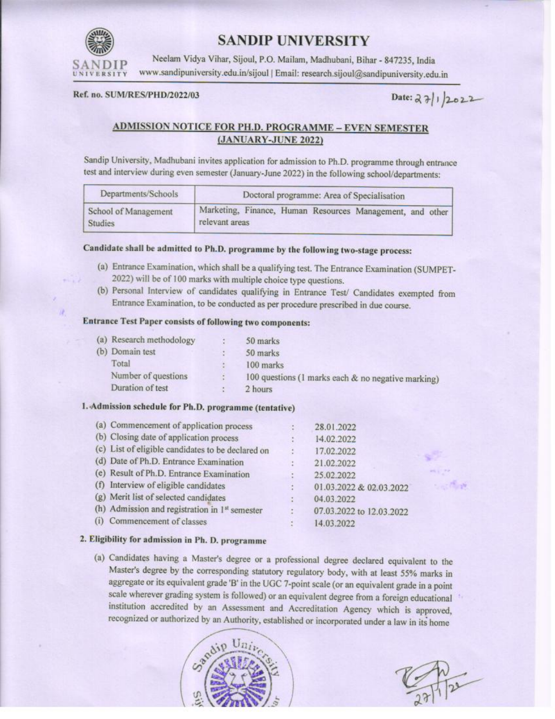

# **SANDIP UNIVERSITY**

Neelam Vidya Vihar, Sijoul, P.O. Mailam, Madhubani, Bihar - 847235, India www.sandipuniversity.edu.in/sijoul | Email: research.sijoul@sandipuniversity.edu.in

#### Ref. no. SUM/RES/PHD/2022/03

Date: 27/1/2022

## **ADMISSION NOTICE FOR PH.D. PROGRAMME - EVEN SEMESTER** (JANUARY-JUNE 2022)

Sandip University, Madhubani invites application for admission to Ph.D. programme through entrance test and interview during even semester (January-June 2022) in the following school/departments:

| Departments/Schools  | Doctoral programme: Area of Specialisation                |  |  |  |  |
|----------------------|-----------------------------------------------------------|--|--|--|--|
| School of Management | Marketing, Finance, Human Resources Management, and other |  |  |  |  |
| <b>Studies</b>       | relevant areas                                            |  |  |  |  |

## Candidate shall be admitted to Ph.D. programme by the following two-stage process:

- (a) Entrance Examination, which shall be a qualifying test. The Entrance Examination (SUMPET-2022) will be of 100 marks with multiple choice type questions.
- (b) Personal Interview of candidates qualifying in Entrance Test/ Candidates exempted from Entrance Examination, to be conducted as per procedure prescribed in due course.

## **Entrance Test Paper consists of following two components:**

| (a) Research methodology | 50 marks                                              |
|--------------------------|-------------------------------------------------------|
| (b) Domain test          | 50 marks                                              |
| Total                    | 100 marks                                             |
| Number of questions      | 100 questions (1 marks each $\&$ no negative marking) |
| Duration of test         | 2 hours                                               |

## 1. Admission schedule for Ph.D. programme (tentative)

|     | (a) Commencement of application process           |       | 28.01.2022               |
|-----|---------------------------------------------------|-------|--------------------------|
|     | (b) Closing date of application process           |       | 14.02.2022               |
|     | (c) List of eligible candidates to be declared on | a,    | 17.02.2022               |
|     | (d) Date of Ph.D. Entrance Examination            | ÷     | 21.02.2022               |
|     | (e) Result of Ph.D. Entrance Examination          |       | 25.02.2022               |
|     | (f) Interview of eligible candidates              | B.    | 01.03.2022 & 02.03.2022  |
|     | (g) Merit list of selected candidates             | ž.    | 04.03.2022               |
|     | (h) Admission and registration in $1st$ semester  | $\pm$ | 07.03.2022 to 12.03.2022 |
| (i) | Commencement of classes                           |       | 14.03.2022               |

## 2. Eligibility for admission in Ph. D. programme

(a) Candidates having a Master's degree or a professional degree declared equivalent to the Master's degree by the corresponding statutory regulatory body, with at least 55% marks in aggregate or its equivalent grade 'B' in the UGC 7-point scale (or an equivalent grade in a point scale wherever grading system is followed) or an equivalent degree from a foreign educational institution accredited by an Assessment and Accreditation Agency which is approved, recognized or authorized by an Authority, established or incorporated under a law in its home

**South IN**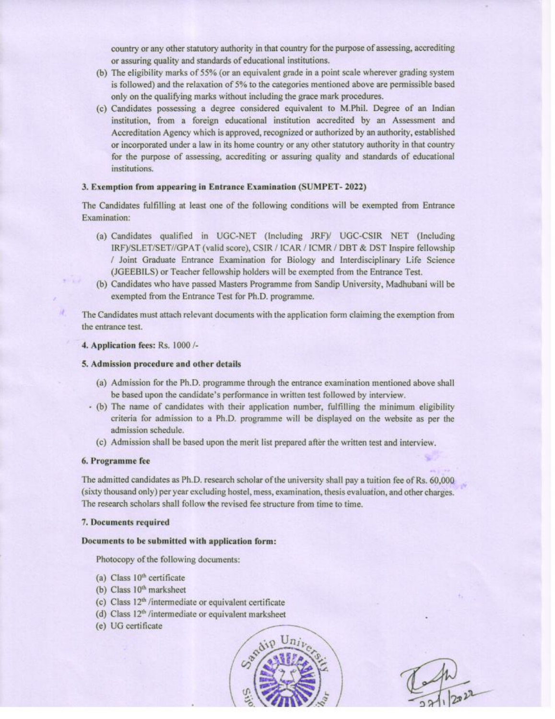country or any other statutory authority in that country for the purpose of assessing, accrediting or assuring quality and standards of educational institutions.

- (b) The eligibility marks of 55% (or an equivalent grade in a point scale wherever grading system is followed) and the relaxation of 5% to the categories mentioned above are permissible based only on the qualifying marks without including the grace mark procedures.
- (c) Candidates possessing a degree considered equivalent to M.Phil. Degree of an Indian institution, from a foreign educational institution accredited by an Assessment and Accreditation Agency which is approved, recognized or authorized by an authority, established or incorporated under a law in its home country or any other statutory authority in that country for the purpose of assessing, accrediting or assuring quality and standards of educational institutions.

#### 3. Exemption from appearing in Entrance Examination (SUMPET-2022)

The Candidates fulfilling at least one of the following conditions will be exempted from Entrance Examination:

- (a) Candidates qualified in UGC-NET (Including JRF)/ UGC-CSIR NET (Including IRF)/SLET/SET//GPAT (valid score), CSIR / ICAR / ICMR / DBT & DST Inspire fellowship / Joint Graduate Entrance Examination for Biology and Interdisciplinary Life Science (JGEEBILS) or Teacher fellowship holders will be exempted from the Entrance Test.
- (b) Candidates who have passed Masters Programme from Sandip University, Madhubani will be exempted from the Entrance Test for Ph.D. programme.

The Candidates must attach relevant documents with the application form claiming the exemption from the entrance test.

#### 4. Application fees: Rs. 1000 /-

#### 5. Admission procedure and other details

- (a) Admission for the Ph.D. programme through the entrance examination mentioned above shall be based upon the candidate's performance in written test followed by interview.
- (b) The name of candidates with their application number, fulfilling the minimum eligibility criteria for admission to a Ph.D. programme will be displayed on the website as per the admission schedule.
	- (c) Admission shall be based upon the merit list prepared after the written test and interview.

#### 6. Programme fee

The admitted candidates as Ph.D. research scholar of the university shall pay a tuition fee of Rs. 60,000 (sixty thousand only) per year excluding hostel, mess, examination, thesis evaluation, and other charges. The research scholars shall follow the revised fee structure from time to time.

#### 7. Documents required

#### Documents to be submitted with application form:

Photocopy of the following documents:

- (a) Class  $10<sup>th</sup>$  certificate
- (b) Class 10<sup>th</sup> marksheet
- (c) Class 12<sup>th</sup> /intermediate or equivalent certificate
- (d) Class 12<sup>th</sup> /intermediate or equivalent marksheet
- (e) UG certificate

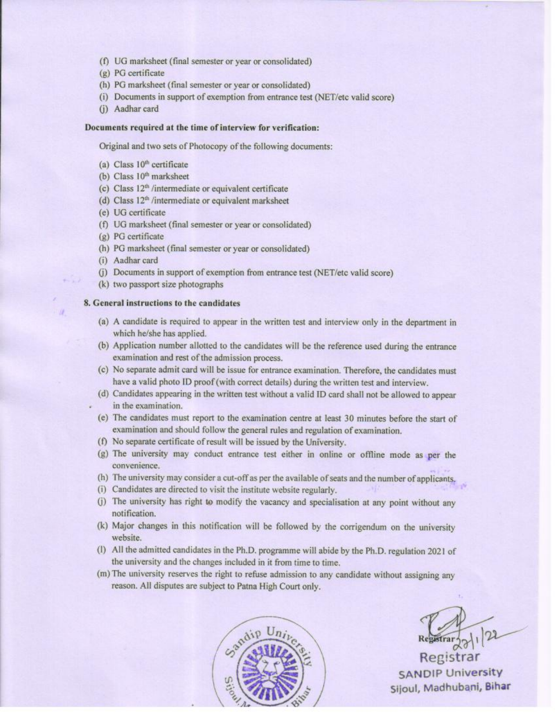- (f) UG marksheet (final semester or year or consolidated)
- $(g)$  PG certificate
- (h) PG marksheet (final semester or year or consolidated)
- (i) Documents in support of exemption from entrance test (NET/etc valid score)
- (i) Aadhar card

### Documents required at the time of interview for verification:

Original and two sets of Photocopy of the following documents:

- (a) Class 10<sup>th</sup> certificate
- (b) Class 10<sup>th</sup> marksheet
- (c) Class 12<sup>th</sup> /intermediate or equivalent certificate
- (d) Class 12<sup>th</sup> /intermediate or equivalent marksheet
- (e) UG certificate
- (f) UG marksheet (final semester or year or consolidated)
- (g) PG certificate
- (h) PG marksheet (final semester or year or consolidated)
- (i) Aadhar card
- (j) Documents in support of exemption from entrance test (NET/etc valid score)
- (k) two passport size photographs

#### 8. General instructions to the candidates

- (a) A candidate is required to appear in the written test and interview only in the department in which he/she has applied.
- (b) Application number allotted to the candidates will be the reference used during the entrance examination and rest of the admission process.
- (c) No separate admit card will be issue for entrance examination. Therefore, the candidates must have a valid photo ID proof (with correct details) during the written test and interview.
- (d) Candidates appearing in the written test without a valid ID card shall not be allowed to appear in the examination.
- (e) The candidates must report to the examination centre at least 30 minutes before the start of examination and should follow the general rules and regulation of examination.
- (f) No separate certificate of result will be issued by the University.
- (g) The university may conduct entrance test either in online or offline mode as per the convenience.
- (h) The university may consider a cut-off as per the available of seats and the number of applicants,
- (i) Candidates are directed to visit the institute website regularly.
- (j) The university has right to modify the vacancy and specialisation at any point without any notification.
- (k) Major changes in this notification will be followed by the corrigendum on the university website.
- (I) All the admitted candidates in the Ph.D. programme will abide by the Ph.D. regulation 2021 of the university and the changes included in it from time to time.
- (m) The university reserves the right to refuse admission to any candidate without assigning any reason. All disputes are subject to Patna High Court only.



Registrar **SANDIP University** Sijoul, Madhubani, Bihar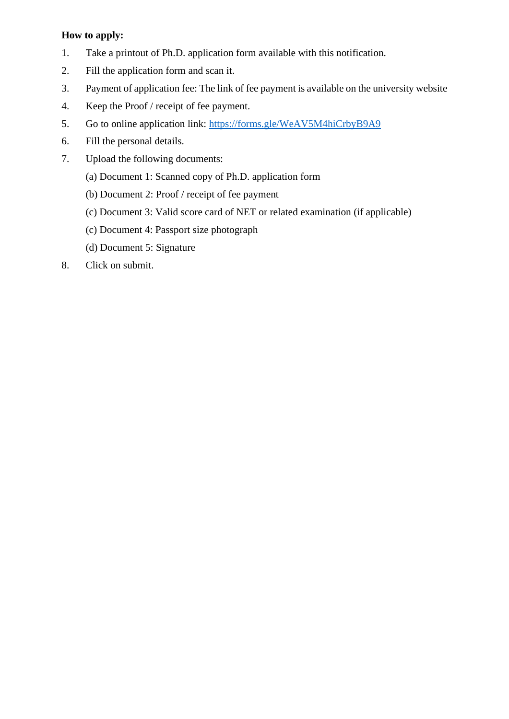## **How to apply:**

- 1. Take a printout of Ph.D. application form available with this notification.
- 2. Fill the application form and scan it.
- 3. Payment of application fee: The link of fee payment is available on the university website
- 4. Keep the Proof / receipt of fee payment.
- 5. Go to online application link: <https://forms.gle/WeAV5M4hiCrbyB9A9>
- 6. Fill the personal details.
- 7. Upload the following documents:
	- (a) Document 1: Scanned copy of Ph.D. application form
	- (b) Document 2: Proof / receipt of fee payment
	- (c) Document 3: Valid score card of NET or related examination (if applicable)
	- (c) Document 4: Passport size photograph
	- (d) Document 5: Signature
- 8. Click on submit.